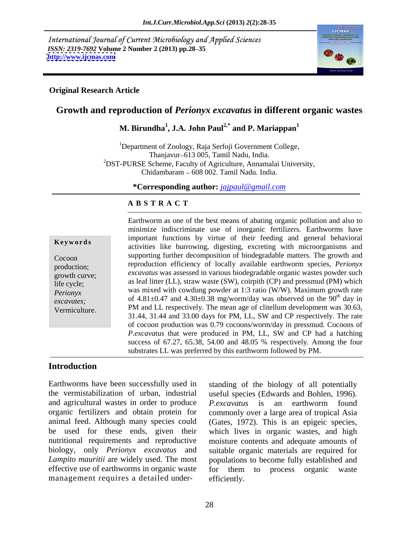International Journal of Current Microbiology and Applied Sciences *ISSN: 2319-7692* **Volume 2 Number 2 (2013) pp.28 35 <http://www.ijcmas.com>**



#### **Original Research Article**

# **Growth and reproduction of** *Perionyx excavatus* **in different organic wastes**

# **M. Birundha<sup>1</sup> , J.A. John Paul2,\* and P. Mariappan<sup>1</sup>**

<sup>1</sup>Department of Zoology, Raja Serfoji Government College, Thanjavur-613 005, Tamil Nadu, India. <sup>2</sup>DST-PURSE Scheme, Faculty of Agriculture, Annamalai University, Chidambaram 608 002. Tamil Nadu*.* India.

**\*Corresponding author:** *jajpaul@gmail.com*

#### **A B S T R A C T**

**Keywords** activities like burrowing, digesting, excreting with microorganisms and Cocoon supporting further decomposition of biodegradable matters. The growth and production; reproduction efficiency of locally available earthworm species, *Perionyx* excavatus was assessed in various biodegradable organic wastes powder such<br>growth curve; as leaf litter (LL), straw waste (SW), coirpith (CP) and pressmud (PM) which life cycle; *Perionyx*  was mixed with cowdung powder at 1:3 ratio (W/W). Maximum growth rate *excavates*; of  $4.81 \pm 0.47$  and  $4.30 \pm 0.38$  mg/worm/day was observed on the 90<sup>th</sup> day in Earthworm as one of the best means of abating organic pollution and also to<br>
minimize indiscriminate use of inorganic fertilizers. Earthworms have<br>
important functions by virtue of their feeding and general behavioral<br>
ac minimize indiscriminate use of inorganic fertilizers. Earthworms have important functions by virtue of their feeding and general behavioral <sup>th</sup> day in PM and LL respectively. The mean age of clitellum development was 30.63, 31.44, 31.44 and 33.00 days for PM, LL, SW and CP respectively. The rate of cocoon production was 0.79 cocoons/worm/day in pressmud*.* Cocoons of *P.excavatus* that were produced in PM, LL, SW and CP had a hatching success of 67.27, 65.38, 54.00 and 48.05 % respectively. Among the four substrates LL was preferred by this earthworm followed by PM.

### **Introduction**

Earthworms have been successfully used in standing of the biology of all potentially the vermistabilization of urban, industrial useful species (Edwards and Bohlen, 1996). and agricultural wastes in order to produce *P.excavatus* is an earthworm found organic fertilizers and obtain protein for commonly over a large area of tropical Asia animal feed. Although many species could (Gates, 1972). This is an epigeic species, be used for these ends, given their which lives in organic wastes, and high nutritional requirements and reproductive moisture contents and adequate amounts of biology, only *Perionyx excavatus* and *Lampito mauritii* are widely used. The most populations to become fully established and effective use of earthworms in organic waste for them to process organic waste

Earthworms have been successfully used in standing of the biology of all potentially the vermistabilization of urban, industrial useful species (Edwards and Bohlen, 1996). and agricultural wastes in order to produce  $P_{\text$ *P.excavatus* is an earthworm found suitable organic materials are required for efficiently.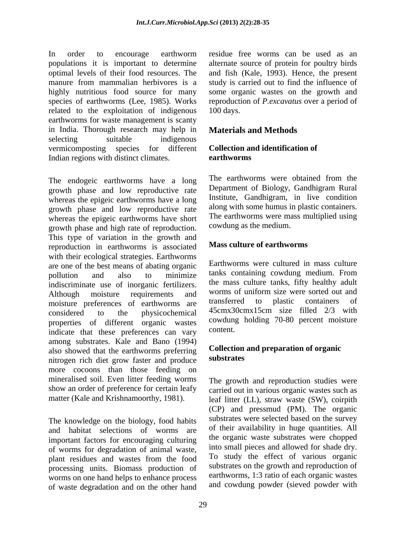In order to encourage earthworm residue free worms can be used as an populations it is important to determine alternate source of protein for poultry birds optimal levels of their food resources. The and fish (Kale, 1993). Hence, the present manure from mammalian herbivores is a study is carried out to find the influence of highly nutritious food source for many some organic wastes on the growth and species of earthworms (Lee, 1985). Works related to the exploitation of indigenous 100 days. earthworms for waste management is scanty in India. Thorough research may help in **Materials and Methods** selecting suitable indigenous vermicomposting species for different Indian regions with distinct climates. earthworms

growth phase and low reproductive rate whereas the epigeic earthworms have a long growth phase and low reproductive rate whereas the epigeic earthworms have short growth phase and high rate of reproduction. This type of variation in the growth and reproduction in earthworms is associated with their ecological strategies. Earthworms are one of the best means of abating organic pollution and also to minimize tanks containing cowdung medium. From indiscriminate use of inorganic fertilizers. The mass culture tanks, fifty healthy adult<br>Although moisture requirements and worms of uniform size were sorted out and Although moisture requirements and worms of uniform size were sorted out and moisture preferences of earthworms are transferred to plastic containers of considered to the physicochemical 45cmx30cmx15cm size filled 2/3 with properties of different organic wastes <sup>cowdung</sup> indicate that these preferences can vary among substrates. Kale and Bano (1994) also showed that the earthworms preferring **Collection**<br>nitrogen rish dist grow faster and produce **substrates** nitrogen rich diet grow faster and produce more cocoons than those feeding on mineralised soil. Even litter feeding worms The growth and reproduction studies were show an order of preference for certain leafy carried out in various organic wastes such as

The knowledge on the biology, food habits and habitat selections of worms are important factors for encouraging culturing of worms for degradation of animal waste, plant residues and wastes from the food processing units. Biomass production of worms on one hand helps to enhance process of waste degradation and on the other hand residue free worms can be used as an reproduction of *P.excavatus* over a period of 100 days.

# **Materials and Methods**

# **Collection and identification of earthworms**

The endogeic earthworms have a long The earthworms were obtained from the The earthworms were obtained from the Department of Biology, Gandhigram Rural Institute, Gandhigram, in live condition along with some humus in plastic containers. The earthworms were mass multiplied using cowdung as the medium.

# **Mass culture of earthworms**

Earthworms were cultured in mass culture the mass culture tanks, fifty healthy adult worms of uniform size were sorted out and transferred to plastic containers of cowdung holding 70-80 percent moisture content.

# **Collection and preparation of organic substrates**

matter (Kale and Krishnamoorthy, 1981). leaf litter (LL), straw waste (SW), coirpith (CP) and pressmud (PM). The organic substrates were selected based on the survey of their availability in huge quantities. All the organic waste substrates were chopped into small pieces and allowed for shade dry. To study the effect of various organic substrates on the growth and reproduction of earthworms, 1:3 ratio of each organic wastes and cowdung powder (sieved powder with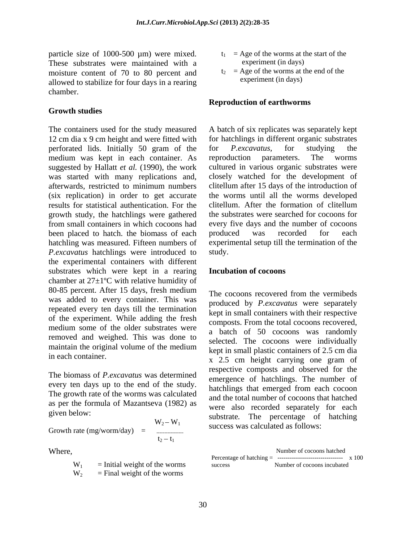particle size of 1000-500  $\mu$ m) were mixed.<br>These substrates were maintained with a experiment (in days) These substrates were maintained with a moisture content of 70 to 80 percent and allowed to stabilize for four days in a rearing chamber.

### **Growth studies**

The containers used for the study measured 12 cm dia x 9 cm height and were fitted with perforated lids. Initially 50 gram of the for *P.excavatus*, for studying the medium was kept in each container. As reproduction parameters. The worms suggested by Hallatt *et al.* (1990), the work cultured in various organic substrates were was started with many replications and, closely watched for the development of afterwards, restricted to minimum numbers clitellum after 15 days of the introduction of (six replication) in order to get accurate the worms until all the worms developed results for statistical authentication. For the clitellum. After the formation of clitellum growth study, the hatchlings were gathered from small containers in which cocoons had been placed to hatch. the biomass of each produced was recorded for each hatchling was measured. Fifteen numbers of experimental setup till the termination of the *P.excavatus* hatchlings were introduced to study. the experimental containers with different substrates which were kept in a rearing Incubation of cocoons chamber at  $27\pm1$ <sup>o</sup>C with relative humidity of 80-85 percent. After 15 days, fresh medium<br>The cocoons recovered from the vermibeds was added to every container. This was repeated every ten days till the termination of the experiment. While adding the fresh medium some of the older substrates were removed and weighed. This was done to maintain the original volume of the medium

The biomass of *P.excavatus* was determined every ten days up to the end of the study. The growth rate of the worms was calculated as per the formula of Mazantseva (1982) as

Growth rate (mg/worm/day) = 
$$
\begin{array}{ccc}\n & \text{Sussrate.} & \text{The percentage of facting} \\
 & \text{success was calculated as follows:} \\
\text{t}_2 - \text{t}_1\n\end{array}
$$

| <b>TTT</b><br>$W_1$             | Initial weight of the worms               | success | r of cocoons incubated<br>Number |  |
|---------------------------------|-------------------------------------------|---------|----------------------------------|--|
| <b>TTT</b><br>$W_{\mathcal{D}}$ | ot the worms<br>$\cdots$<br>ы пе<br>WEILI |         |                                  |  |

- $t_1$  = Age of the worms at the start of the experiment (in days)
- $t_2$  = Age of the worms at the end of the experiment (in days)

#### **Reproduction of earthworms**

A batch of six replicates was separately kept for hatchlings in different organic substrates for *P.excavatus,* for studying the reproduction parameters. The worms clitellum. After the formation of clitellum the substrates were searched for cocoons for every five days and the number of cocoons produced was recorded for each study.

#### **Incubation of cocoons**

in each container.<br>
x 2.5 cm height carrying one gram of given below:<br>
substrate. The percentage of hatching  $W_2-W_1$  success was calculated as follows: The cocoons recovered from the vermibeds produced by *P.excavatus* were separately kept in small containers with their respective composts. From the total cocoons recovered, a batch of 50 cocoons was randomly selected. The cocoons were individually kept in small plastic containers of 2.5 cm dia respective composts and observed for the emergence of hatchlings. The number of hatchlings that emerged from each cocoon and the total number of cocoons that hatched were also recorded separately for each success was calculated as follows:

Where, Number of cocoons hatched  $\blacksquare$  $W_1$  = Initial weight of the worms success Number of cocoons incubated Number of cocoons hatched Percentage of hatching  $=$  ---------------------------------- x 100 success Number of cocoons incubated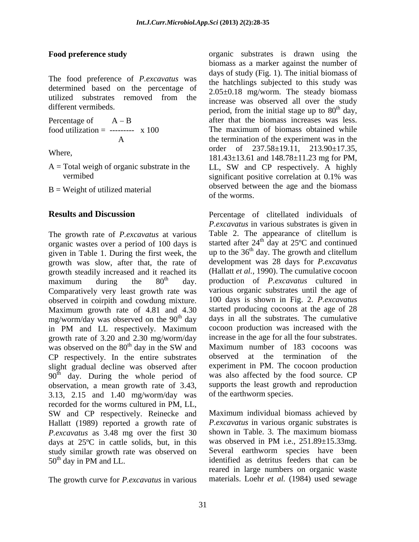The food preference of *P.excavatus* was determined based on the percentage of utilized substrates removed from the  $\frac{2.002 \pm 0.001 \text{ m}}{2.002 \pm 0.000 \text{ m}}$  and  $\frac{1}{2}$  over the study

 $B = Weight of utilized material$  observed between the worms of the worms

The growth rate of *P.excavatus* at various organic wastes over a period of 100 days is given in Table 1. During the first week, the growth was slow, after that, the rate of growth steadily increased and it reached its<br>maximum during the  $80<sup>th</sup>$  day. maximum during the 80<sup>th</sup> day. production of *P.excavatus* cultured in Comparatively very least growth rate was observed in coirpith and cowdung mixture. Maximum growth rate of 4.81 and 4.30 mg/worm/day was observed on the 90<sup>th</sup> day<br>in PM and LL respectively. Maximum in PM and LL respectively. Maximum cocoon production was increased with the growth rate of 3.20 and 2.30 mg/worm/day was observed on the  $80<sup>th</sup>$  day in the SW and CP respectively. In the entire substrates slight gradual decline was observed after  $90<sup>th</sup>$  day. During the whole period of observation, a mean growth rate of 3.43, 3.13, 2.15 and 1.40 mg/worm/day was recorded for the worms cultured in PM, LL, SW and CP respectively. Reinecke and Hallatt (1989) reported a growth rate of *P.excavatus* in various organic substrates is *P* excavatus as  $3.48$  mg over the first  $30$  shown in Table, 3. The maximum biomass *P.excavatus* as 3.48 mg over the first 30 shown in Table. 3. The maximum biomass days at 25<sup>o</sup>C in cattle solids, but, in this was observed in PM i.e., 251.89±15.33mg. days at 25ºC in cattle solids, but, in this study similar growth rate was observed on 50<sup>th</sup> day in PM and LL. identified as detritus feeders that can be

The growth curve for *P.excavatus* in various

**Food preference study** organic substrates is drawn using the different vermibeds.<br>
period, from the initial stage up to 80<sup>th</sup> day, Percentage of  $A - B$  after that the biomass increases was less. food utilization = --------- x 100 The maximum of biomass obtained while A the termination of the experiment was in the Where,  $181.43 \pm 13.61$  and  $148.78 \pm 11.23$  mg for PM, A = Total weigh of organic substrate in the LL, SW and CP respectively. A highly vermibed significant positive correlation at 0.1% was biomass as a marker against the number of days of study (Fig. 1). The initial biomass of the hatchlings subjected to this study was 2.05±0.18 mg/worm. The steady biomass increase was observed all over the study  $\frac{dh}{dx}$ , order of 237.58±19.11, 213.90±17.35, observed between the age and the biomass of the worms.

**Results and Discussion Percentage** of clitellated individuals of th day. production of *P.excavatus* cultured in <sup>th</sup> day days in all the substrates. The cumulative <sup>th</sup> day in the SW and Maximum number of 183 cocoons was *P.excavatus* in various substrates is given in Table 2. The appearance of clitellum is started after 24<sup>th</sup> day at 25°C and continued  $\frac{th}{\text{day}}$  at 25 $\textdegree$ C and continued up to the  $36<sup>th</sup>$  day. The growth and clitellum <sup>th</sup> day. The growth and clitellum development was 28 days for *P.excavatus*  (Hallatt *et al.,* 1990). The cumulative cocoon various organic substrates until the age of 100 days is shown in Fig. 2. *P.excavatus*  started producing cocoons at the age of 28 cocoon production was increased with the increase in the age for all the four substrates. Maximum number of 183 cocoons was observed at the termination of the experiment in PM. The cocoon production was also affected by the food source. CP supports the least growth and reproduction of the earthworm species.

> Maximum individual biomass achieved by *P.excavatus* in various organic substrates is shown in Table. 3. The maximum biomass was observed in PM i.e., 251.89±15.33mg*.* Several earthworm species have been reared in large numbers on organic waste materials. Loehr *et al.* (1984) used sewage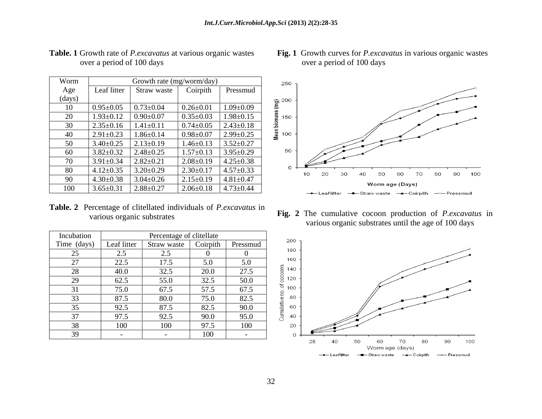| Worm   |                 | Growth rate (mg/worm/day) |                 |                 | 250                      |    |                           |    |                         |                 |    |    |
|--------|-----------------|---------------------------|-----------------|-----------------|--------------------------|----|---------------------------|----|-------------------------|-----------------|----|----|
| Age    | Leaf litter     | Straw waste               | Coirpith        | Pressmud        |                          |    |                           |    |                         |                 |    |    |
| (days) |                 |                           |                 |                 | 200                      |    |                           |    |                         |                 |    |    |
| 10     | $0.95 \pm 0.05$ | $0.73 \pm 0.04$           | $0.26 \pm 0.01$ | $1.09 \pm 0.09$ |                          |    |                           |    |                         |                 |    |    |
| 20     | $1.93 \pm 0.12$ | $0.90 \pm 0.07$           | $0.35 \pm 0.03$ | $1.98 \pm 0.15$ | Mean biomass (mg)<br>150 |    |                           |    |                         |                 |    |    |
| 30     | $2.35 \pm 0.16$ | $1.41 \pm 0.11$           | $0.74 \pm 0.05$ | $2.43 \pm 0.18$ |                          |    |                           |    |                         |                 |    |    |
| 40     | $2.91 \pm 0.23$ | $1.86 \pm 0.14$           | $0.98 \pm 0.07$ | $2.99 \pm 0.25$ | 100                      |    |                           |    |                         |                 |    |    |
| 50     | $3.40 \pm 0.25$ | $2.13 \pm 0.19$           | $1.46 \pm 0.13$ | $3.52 \pm 0.27$ |                          |    |                           |    |                         |                 |    |    |
| 60     | $3.82 \pm 0.32$ | $2.48 \pm 0.25$           | $1.57 \pm 0.13$ | $3.95 \pm 0.29$ | 50                       |    |                           |    |                         |                 |    |    |
| 70     | $3.91 \pm 0.34$ | $2.82 \pm 0.21$           | $2.08 \pm 0.19$ | $4.25 \pm 0.38$ |                          |    |                           |    |                         |                 |    |    |
| 80     | $4.12 \pm 0.35$ | $3.20 \pm 0.29$           | $2.30 \pm 0.17$ | $4.57 \pm 0.33$ | O                        | 10 | 20                        | 30 | 40                      | 50              | 60 | 70 |
| 90     | $4.30 \pm 0.38$ | $3.04 \pm 0.26$           | $2.15 \pm 0.19$ | $4.81 \pm 0.47$ |                          |    |                           |    |                         |                 |    |    |
| 100    | $3.65 \pm 0.31$ | $2.88 \pm 0.27$           | $2.06 \pm 0.18$ | $4.73 \pm 0.44$ |                          |    |                           |    |                         | Worm age (Days) |    |    |
|        |                 |                           |                 |                 |                          |    | $\rightarrow$ Leaf litter |    | - Straw waste - Coirpit |                 |    |    |

# over a period of 100 days

**Table. 2** Percentage of clitellated individuals of *P.excavatus* in

| Incubation  |             | Percentage of clitellate |          |          |
|-------------|-------------|--------------------------|----------|----------|
| Time (days) | Leaf litter | Straw waste              | Coirpith | Pressmud |
| 25          | 2.5         | 2.5                      |          |          |
| 27          | 22.5        | 17.5                     | 5.0      | 5.0      |
| 28          | 40.0        | 32.5                     | 20.0     | 27.5     |
| 29          | 62.5        | 55.0                     | 32.5     | 50.0     |
| 31          | 75.0        | 67.5                     | 57.5     | 67.5     |
| 33          | 87.5        | 80.0                     | 75.0     | 82.5     |
| 35          | 92.5        | 87.5                     | 82.5     | 90.0     |
| 37          | 97.5        | 92.5                     | 90.0     | 95.0     |
| 38          | 100         | 100                      | 97.5     | 100      |
| 39          |             |                          | 100      |          |

#### **Table. 1** Growth rate of *P.excavatus* at various organic wastes over a period of 100 days



various organic substrates **Fig. 2** The cumulative cocoon production of *P.excavatus* in various organic substrates until the age of 100 days

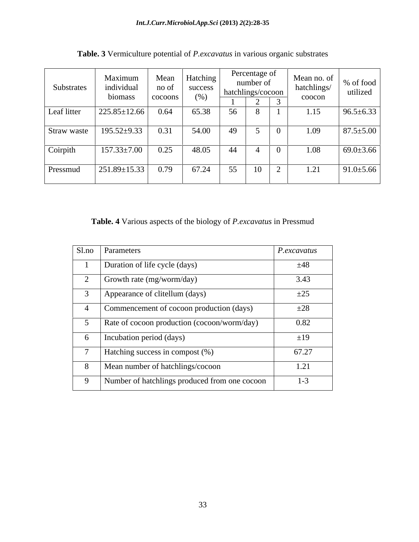| Substrates  | Maximum<br>individual<br>biomass | Mean<br>no of<br>cocoons | Hatching<br>success<br>(%) |    | Percentage of<br>number of<br>  hatchlings/cocoon  <br>_ | $\sim$ | Mean no. of<br>hatchlings/<br>coocon | % of food<br>utilized |
|-------------|----------------------------------|--------------------------|----------------------------|----|----------------------------------------------------------|--------|--------------------------------------|-----------------------|
| Leaf litter | $225.85 \pm 12.66$               | 0.64                     | 65.38                      | 56 | $\circ$                                                  |        | 1.15                                 | $96.5 \pm 6.33$       |
| Straw waste | $195.52 \pm 9.33$                | 0.31                     | 54.00                      | 49 | $\overline{\phantom{0}}$<br>◡                            |        | 1.09                                 | $87.5 \pm 5.00$       |
| Coirpith    | $157.33 \pm 7.00$                | 0.25                     | 48.05                      | 44 |                                                          |        | 1.08                                 | $69.0 \pm 3.66$       |
| Pressmud    | 251.89±15.33                     | 0.79                     | 67.24                      | 55 | 10                                                       |        | 1.21                                 | $91.0 \pm 5.66$       |

**Table. 3** Vermiculture potential of *P.excavatus* in various organic substrates

**Table. 4** Various aspects of the biology of *P.excavatus* in Pressmud

| Sl.no Parameters                              | P.excavatus |
|-----------------------------------------------|-------------|
| Duration of life cycle (days)                 | ±48         |
| Growth rate (mg/worm/day)                     | 3.43        |
| Appearance of clitellum (days)                | $\pm 25$    |
| Commencement of cocoon production (days)      | ±28         |
| Rate of cocoon production (cocoon/worm/day)   | 0.82        |
| Incubation period (days)                      | ±19         |
| Hatching success in compost (%)               | 67.27       |
| Mean number of hatchlings/cocoon              | 1.21        |
| Number of hatchlings produced from one cocoon | $1 - 3$     |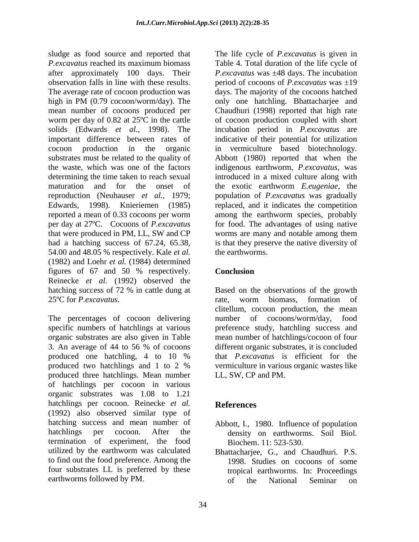sludge as food source and reported that The life cycle of *P.excavatus* is given in *P.excavatus* reached its maximum biomass Table 4. Total duration of the life cycle of after approximately 100 days. Their *P.excavatus* was ±48 days. The incubation observation falls in line with theseresults. period of cocoons of *P.excavatus* was ±19 The average rate of cocoon production was days. The majority of the cocoons hatched high in PM (0.79 cocoon/worm/day). The only one hatchling. Bhattacharjee and mean number of cocoons produced per Chaudhuri (1998) reported that high rate worm per day of 0.82 at 25ºC in the cattle of cocoon production coupled with short solids (Edwards *et al.,* 1998). The incubation period in *P.excavatus* are important difference between rates of indicative of their potential for utilization cocoon production in the organic in vermiculture based biotechnology. substrates must be related to the quality of Abbott (1980) reported that when the the waste, which was one of the factors indigenous earthworm, *P.excavatus,* was determining the time taken to reach sexual maturation and for the onset of the exotic earthworm *E.eugeniae*, the reproduction (Neuhauser *et al.,* 1979; population of *P.excavatus* was gradually Edwards, 1998). Knieriemen (1985) replaced, and it indicates the competition reported a mean of 0.33 cocoons per worm among the earthworm species, probably per day at 27ºC. Cocoons of *P.excavatus*  that were produced in PM, LL, SW and CP had a hatching success of 67.24, 65.38, is that they preserve the native diversity of 54.00 and 48.05 % respectively. Kale *et al.* (1982) and Loehr *et al.* (1984) determined figures of 67 and 50 % respectively. Conclusion Reinecke *et al.* (1992) observed the hatching success of 72 % in cattle dung at Based on the observations of the growth 25ºC for *P.excavatus.*

The percentages of cocoon delivering mumber of cocoons/worm/day, food specific numbers of hatchlings at various preference study, hatchling success and organic substrates are also given in Table mean number of hatchlings/cocoon of four 3. An average of 44 to 56 % of cocoons different organic substrates, it is concluded produced one hatchling, 4 to 10 % that *P.excavatus* is efficient for the produced two hatchlings and 1 to 2 % produced three hatchlings. Mean number of hatchlings per cocoon in various organic substrates was 1.08 to 1.21 hatchlings per cocoon. Reinecke *et al.* References (1992) also observed similar type of hatching success and mean number of Abbott, I., 1980. Influence of population hatchlings per cocoon. After the density on earthworms. Soil Biol. termination of experiment, the food utilized by the earthworm was calculated Bhattacharjee, G., and Chaudhuri. P.S. to find out the food preference. Among the four substrates LL is preferred by these earthworms followed by PM.  $\qquad \qquad$  of the National Seminar on

only one hatchling. Bhattacharjee and introduced in a mixed culture along with for food. The advantages of using native worms are many and notable among them the earthworms.

# **Conclusion**

rate, worm biomass, formation of clitellum, cocoon production, the mean number of cocoons/worm/day, food different organic substrates, it is concluded that *P.excavatus* is efficient for the vermiculture in various organic wastes like LL, SW, CP and PM.

# **References**

- Biochem. 11: 523-530.
- 1998. Studies on cocoons of some tropical earthworms. In: Proceedings of the National Seminar on